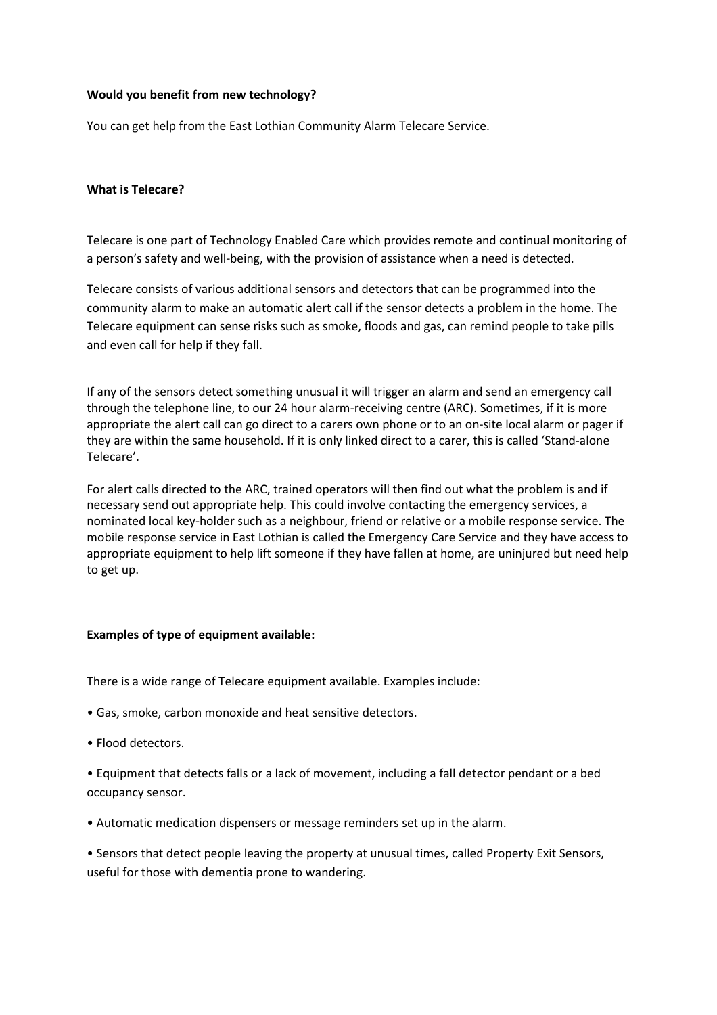### **Would you benefit from new technology?**

You can get help from the East Lothian Community Alarm Telecare Service.

### **What is Telecare?**

Telecare is one part of Technology Enabled Care which provides remote and continual monitoring of a person's safety and well-being, with the provision of assistance when a need is detected.

Telecare consists of various additional sensors and detectors that can be programmed into the community alarm to make an automatic alert call if the sensor detects a problem in the home. The Telecare equipment can sense risks such as smoke, floods and gas, can remind people to take pills and even call for help if they fall.

If any of the sensors detect something unusual it will trigger an alarm and send an emergency call through the telephone line, to our 24 hour alarm-receiving centre (ARC). Sometimes, if it is more appropriate the alert call can go direct to a carers own phone or to an on-site local alarm or pager if they are within the same household. If it is only linked direct to a carer, this is called 'Stand-alone Telecare'.

For alert calls directed to the ARC, trained operators will then find out what the problem is and if necessary send out appropriate help. This could involve contacting the emergency services, a nominated local key-holder such as a neighbour, friend or relative or a mobile response service. The mobile response service in East Lothian is called the Emergency Care Service and they have access to appropriate equipment to help lift someone if they have fallen at home, are uninjured but need help to get up.

### **Examples of type of equipment available:**

There is a wide range of Telecare equipment available. Examples include:

- Gas, smoke, carbon monoxide and heat sensitive detectors.
- Flood detectors.

• Equipment that detects falls or a lack of movement, including a fall detector pendant or a bed occupancy sensor.

• Automatic medication dispensers or message reminders set up in the alarm.

• Sensors that detect people leaving the property at unusual times, called Property Exit Sensors, useful for those with dementia prone to wandering.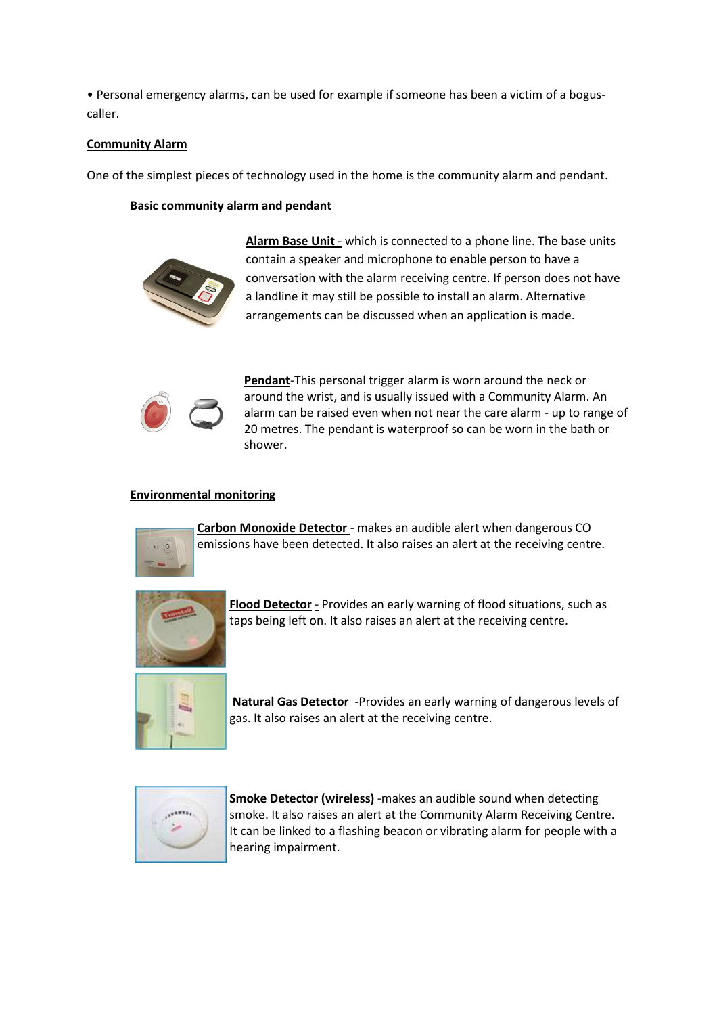• Personal emergency alarms, can be used for example if someone has been a victim of a boguscaller.

# **Community Alarm**

One of the simplest pieces of technology used in the home is the community alarm and pendant.

## **Basic community alarm and pendant**



**Alarm Base Unit** - which is connected to a phone line. The base units contain a speaker and microphone to enable person to have a conversation with the alarm receiving centre. If person does not have a landline it may still be possible to install an alarm. Alternative arrangements can be discussed when an application is made.



**Pendant**-This personal trigger alarm is worn around the neck or around the wrist, and is usually issued with a Community Alarm. An alarm can be raised even when not near the care alarm - up to range of 20 metres. The pendant is waterproof so can be worn in the bath or shower.

# **Environmental monitoring**



**Carbon Monoxide Detector** - makes an audible alert when dangerous CO emissions have been detected. It also raises an alert at the receiving centre.



**Flood Detector** - Provides an early warning of flood situations, such as taps being left on. It also raises an alert at the receiving centre.



**Natural Gas Detector** -Provides an early warning of dangerous levels of gas. It also raises an alert at the receiving centre.



**Smoke Detector (wireless)** -makes an audible sound when detecting smoke. It also raises an alert at the Community Alarm Receiving Centre. It can be linked to a flashing beacon or vibrating alarm for people with a hearing impairment.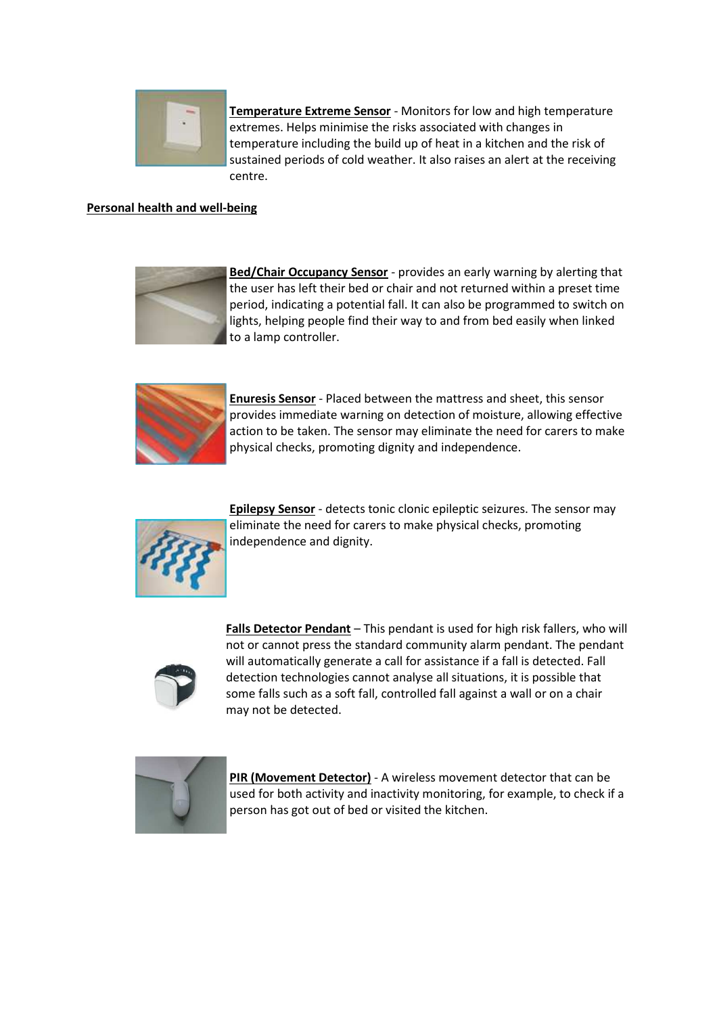

**Temperature Extreme Sensor** - Monitors for low and high temperature extremes. Helps minimise the risks associated with changes in temperature including the build up of heat in a kitchen and the risk of sustained periods of cold weather. It also raises an alert at the receiving centre.

# **Personal health and well-being**



**Bed/Chair Occupancy Sensor** - provides an early warning by alerting that the user has left their bed or chair and not returned within a preset time period, indicating a potential fall. It can also be programmed to switch on lights, helping people find their way to and from bed easily when linked to a lamp controller.



**Enuresis Sensor** - Placed between the mattress and sheet, this sensor provides immediate warning on detection of moisture, allowing effective action to be taken. The sensor may eliminate the need for carers to make physical checks, promoting dignity and independence.



**Epilepsy Sensor** - detects tonic clonic epileptic seizures. The sensor may eliminate the need for carers to make physical checks, promoting independence and dignity.



**Falls Detector Pendant** – This pendant is used for high risk fallers, who will not or cannot press the standard community alarm pendant. The pendant will automatically generate a call for assistance if a fall is detected. Fall detection technologies cannot analyse all situations, it is possible that some falls such as a soft fall, controlled fall against a wall or on a chair may not be detected.



**PIR (Movement Detector)** - A wireless movement detector that can be used for both activity and inactivity monitoring, for example, to check if a person has got out of bed or visited the kitchen.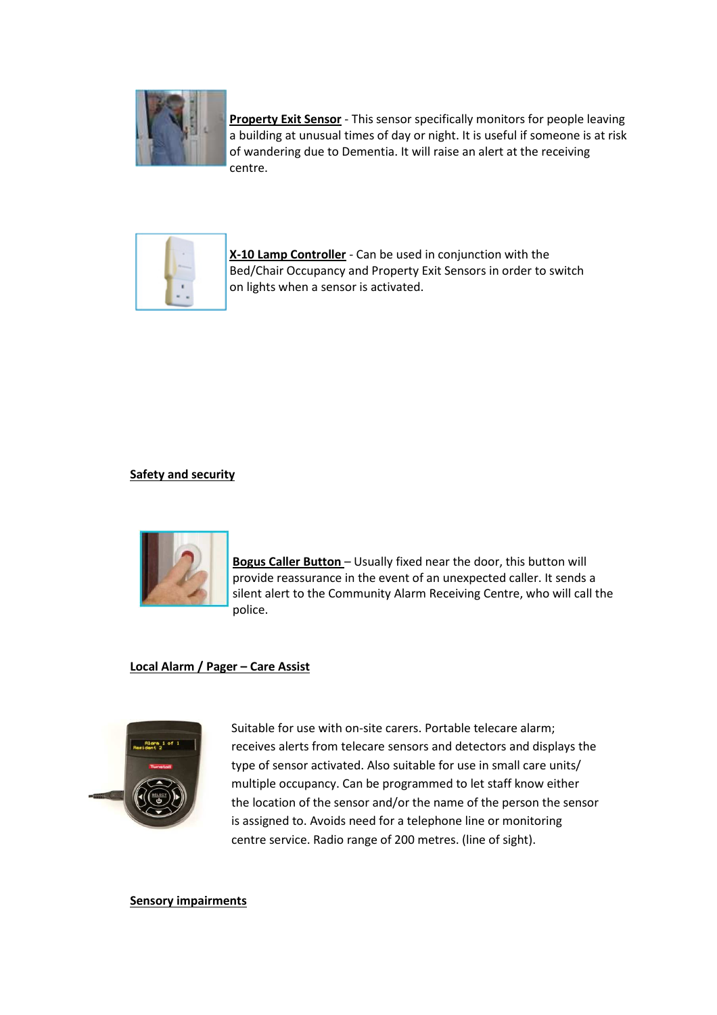

**Property Exit Sensor** - This sensor specifically monitors for people leaving a building at unusual times of day or night. It is useful if someone is at risk of wandering due to Dementia. It will raise an alert at the receiving centre.



**X-10 Lamp Controller** - Can be used in conjunction with the Bed/Chair Occupancy and Property Exit Sensors in order to switch on lights when a sensor is activated.

# **Safety and security**



**Bogus Caller Button** – Usually fixed near the door, this button will provide reassurance in the event of an unexpected caller. It sends a silent alert to the Community Alarm Receiving Centre, who will call the police.

### **Local Alarm / Pager – Care Assist**



Suitable for use with on-site carers. Portable telecare alarm; receives alerts from telecare sensors and detectors and displays the type of sensor activated. Also suitable for use in small care units/ multiple occupancy. Can be programmed to let staff know either the location of the sensor and/or the name of the person the sensor is assigned to. Avoids need for a telephone line or monitoring centre service. Radio range of 200 metres. (line of sight).

**Sensory impairments**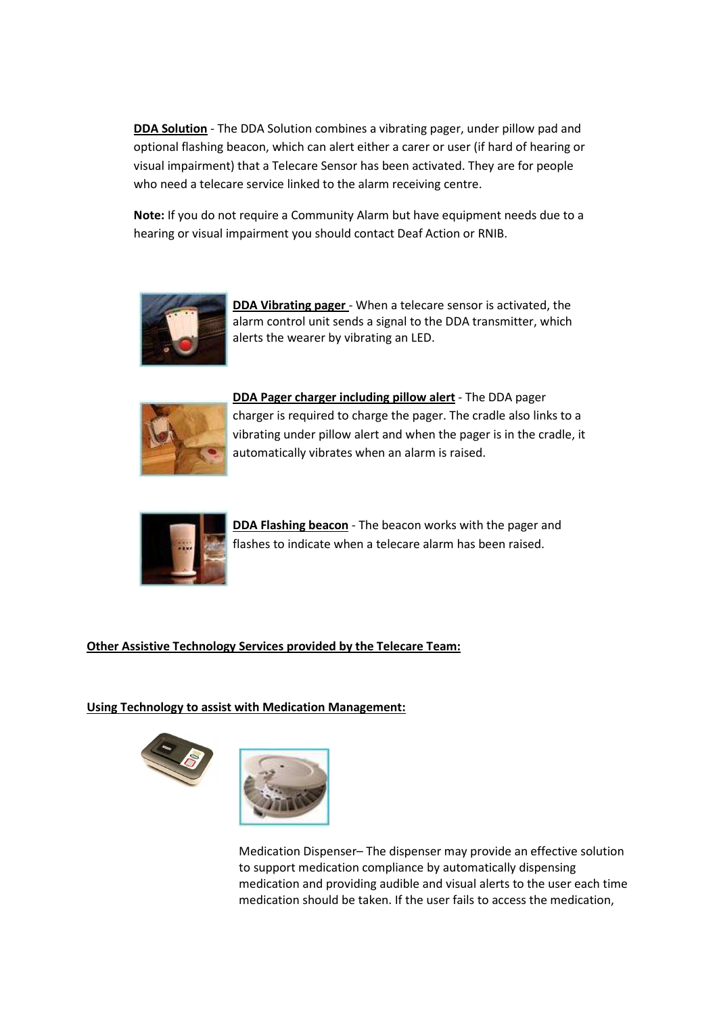**DDA Solution** - The DDA Solution combines a vibrating pager, under pillow pad and optional flashing beacon, which can alert either a carer or user (if hard of hearing or visual impairment) that a Telecare Sensor has been activated. They are for people who need a telecare service linked to the alarm receiving centre.

**Note:** If you do not require a Community Alarm but have equipment needs due to a hearing or visual impairment you should contact Deaf Action or RNIB.



**DDA Vibrating pager** - When a telecare sensor is activated, the alarm control unit sends a signal to the DDA transmitter, which alerts the wearer by vibrating an LED.



**DDA Pager charger including pillow alert** - The DDA pager charger is required to charge the pager. The cradle also links to a vibrating under pillow alert and when the pager is in the cradle, it automatically vibrates when an alarm is raised.



**DDA Flashing beacon** - The beacon works with the pager and flashes to indicate when a telecare alarm has been raised.

# **Other Assistive Technology Services provided by the Telecare Team:**

### **Using Technology to assist with Medication Management:**



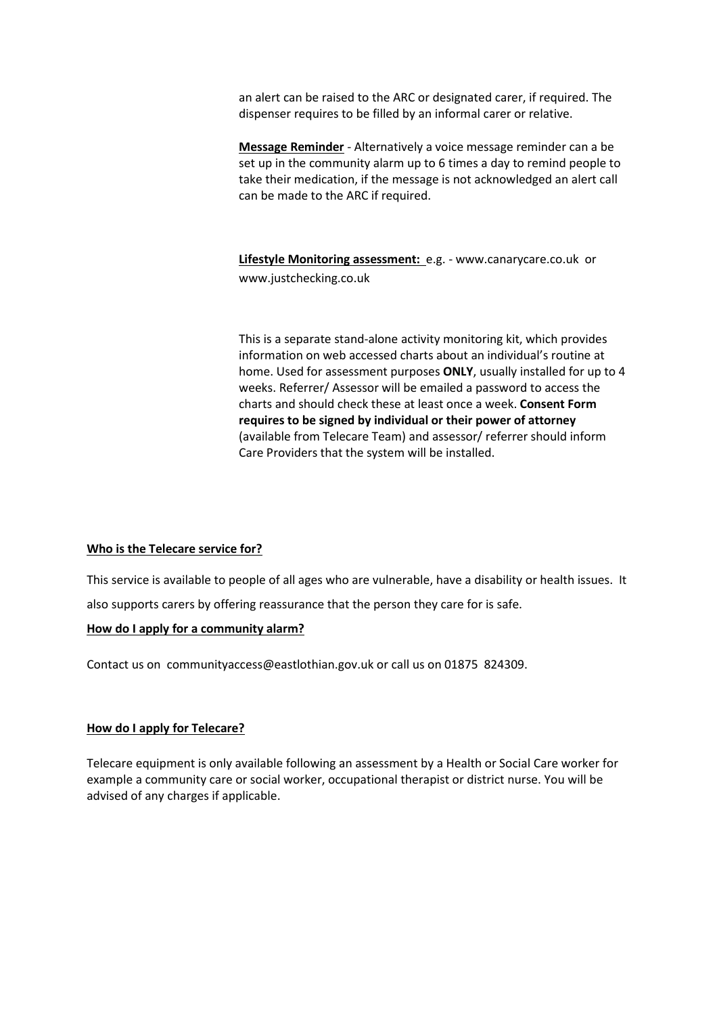an alert can be raised to the ARC or designated carer, if required. The dispenser requires to be filled by an informal carer or relative.

**Message Reminder** - Alternatively a voice message reminder can a be set up in the community alarm up to 6 times a day to remind people to take their medication, if the message is not acknowledged an alert call can be made to the ARC if required.

**Lifestyle Monitoring assessment:** e.g. - www.canarycare.co.uk or www.justchecking.co.uk

This is a separate stand-alone activity monitoring kit, which provides information on web accessed charts about an individual's routine at home. Used for assessment purposes **ONLY**, usually installed for up to 4 weeks. Referrer/ Assessor will be emailed a password to access the charts and should check these at least once a week. **Consent Form requires to be signed by individual or their power of attorney**  (available from Telecare Team) and assessor/ referrer should inform Care Providers that the system will be installed.

### **Who is the Telecare service for?**

This service is available to people of all ages who are vulnerable, have a disability or health issues. It also supports carers by offering reassurance that the person they care for is safe.

### **How do I apply for a community alarm?**

Contact us on communityaccess@eastlothian.gov.uk or call us on 01875 824309.

### **How do I apply for Telecare?**

Telecare equipment is only available following an assessment by a Health or Social Care worker for example a community care or social worker, occupational therapist or district nurse. You will be advised of any charges if applicable.